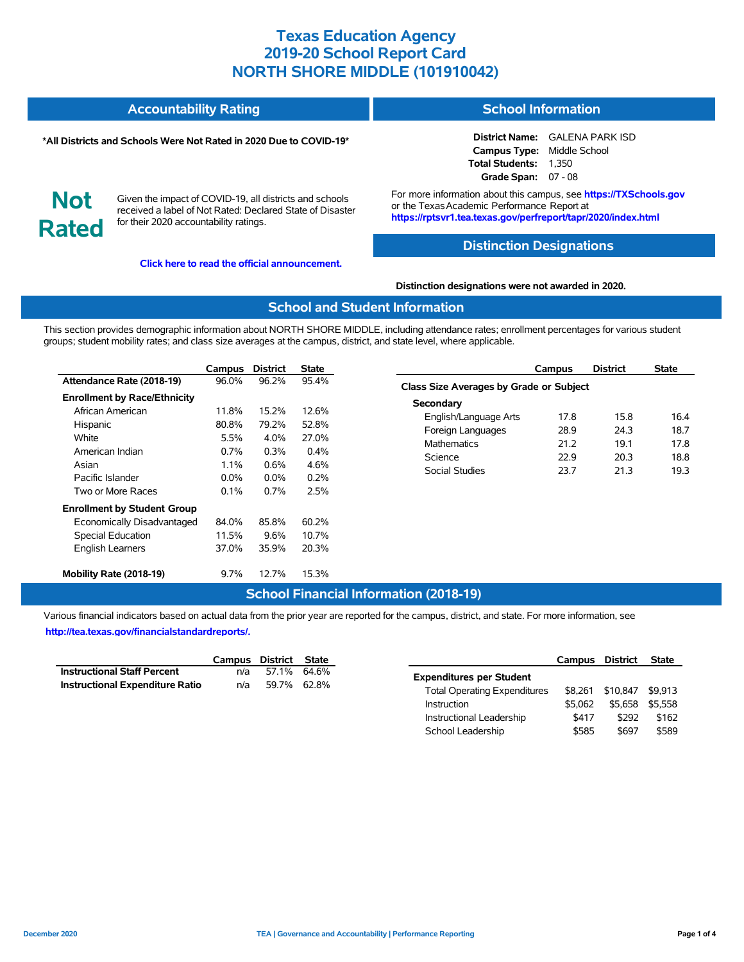#### **Accountability Rating School Information**

#### **\*All Districts and Schools Were Not Rated in 2020 Due to COVID-19\***

#### **District Name:** GALENA PARK ISD **Campus Type:** Middle School **Total Students:** 1,350 **Grade Span:** 07 - 08

**Not Rated**

Given the impact of COVID-19, all districts and schools received a label of Not Rated: Declared State of Disaster for their 2020 accountability ratings.

**[Click here to read the official announcement.](https://tea.texas.gov/about-tea/news-and-multimedia/correspondence/taa-letters/every-student-succeeds-act-essa-waiver-approval-2020-state-academic-accountability)**

For more information about this campus, see **https://TXSchools.gov** or the Texas Academic Performance Report at **https://rptsvr1.tea.texas.gov/perfreport/tapr/2020/index.html**

### **Distinction Designations**

#### **Distinction designations were not awarded in 2020.**

#### **School and Student Information**

This section provides demographic information about NORTH SHORE MIDDLE, including attendance rates; enrollment percentages for various student groups; student mobility rates; and class size averages at the campus, district, and state level, where applicable.

|                                     | Campus  | <b>District</b> | <b>State</b> |
|-------------------------------------|---------|-----------------|--------------|
| Attendance Rate (2018-19)           | 96.0%   | 96.2%           | 95.4%        |
| <b>Enrollment by Race/Ethnicity</b> |         |                 |              |
| African American                    | 11.8%   | 15.2%           | 12.6%        |
| Hispanic                            | 80.8%   | 79.2%           | 52.8%        |
| White                               | 5.5%    | $4.0\%$         | 27.0%        |
| American Indian                     | $0.7\%$ | $0.3\%$         | 0.4%         |
| Asian                               | $1.1\%$ | $0.6\%$         | 4.6%         |
| Pacific Islander                    | $0.0\%$ | $0.0\%$         | 0.2%         |
| Two or More Races                   | $0.1\%$ | $0.7\%$         | 2.5%         |
| <b>Enrollment by Student Group</b>  |         |                 |              |
| Economically Disadvantaged          | 84.0%   | 85.8%           | 60.2%        |
| <b>Special Education</b>            | 11.5%   | $9.6\%$         | 10.7%        |
| <b>English Learners</b>             | 37.0%   | 35.9%           | 20.3%        |
| Mobility Rate (2018-19)             | 9.7%    | 12.7%           | 15.3%        |

|                                         | Campus | <b>District</b> | <b>State</b> |  |  |  |  |  |  |
|-----------------------------------------|--------|-----------------|--------------|--|--|--|--|--|--|
| Class Size Averages by Grade or Subject |        |                 |              |  |  |  |  |  |  |
| Secondary                               |        |                 |              |  |  |  |  |  |  |
| English/Language Arts                   | 17.8   | 15.8            | 16.4         |  |  |  |  |  |  |
| Foreign Languages                       | 28.9   | 24.3            | 18.7         |  |  |  |  |  |  |
| <b>Mathematics</b>                      | 21.2   | 191             | 178          |  |  |  |  |  |  |
| Science                                 | 229    | 20.3            | 18.8         |  |  |  |  |  |  |
| Social Studies                          | 23.7   | 21.3            | 19.3         |  |  |  |  |  |  |
|                                         |        |                 |              |  |  |  |  |  |  |

### **School Financial Information (2018-19)**

Various financial indicators based on actual data from the prior year are reported for the campus, district, and state. For more information, see **[http://tea.texas.gov/financialstandardreports/.](http://tea.texas.gov/financialstandardreports/)**

|                                        | Campus District State |             |  |
|----------------------------------------|-----------------------|-------------|--|
| <b>Instructional Staff Percent</b>     | n/a                   | 57.1% 64.6% |  |
| <b>Instructional Expenditure Ratio</b> | n/a                   | 59.7% 62.8% |  |

|                                     | Campus District |          | <b>State</b> |
|-------------------------------------|-----------------|----------|--------------|
| <b>Expenditures per Student</b>     |                 |          |              |
| <b>Total Operating Expenditures</b> | \$8.261         | \$10.847 | \$9.913      |
| Instruction                         | \$5.062         | \$5.658  | \$5.558      |
| Instructional Leadership            | \$417           | \$292    | \$162        |
| School Leadership                   | \$585           | \$697    | \$589        |

Ĭ.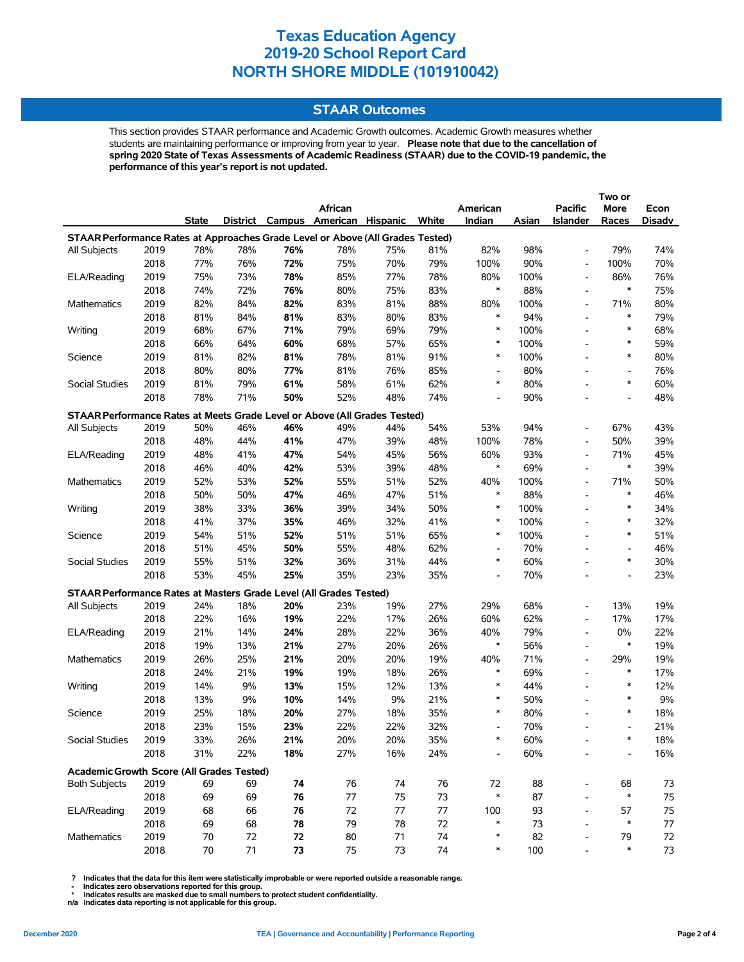#### **STAAR Outcomes**

This section provides STAAR performance and Academic Growth outcomes. Academic Growth measures whether students are maintaining performance or improving from year to year. **Please note that due to the cancellation of spring 2020 State of Texas Assessments of Academic Readiness (STAAR) due to the COVID-19 pandemic, the performance of this year's report is not updated.**

|                                                                                |      |       |     |     |                                   |     |       |                          |       |                          | Two or                   |        |
|--------------------------------------------------------------------------------|------|-------|-----|-----|-----------------------------------|-----|-------|--------------------------|-------|--------------------------|--------------------------|--------|
|                                                                                |      |       |     |     | African                           |     |       | American                 |       | <b>Pacific</b>           | More                     | Econ   |
|                                                                                |      | State |     |     | District Campus American Hispanic |     | White | Indian                   | Asian | <b>Islander</b>          | Races                    | Disadv |
| STAAR Performance Rates at Approaches Grade Level or Above (All Grades Tested) |      |       |     |     |                                   |     |       |                          |       |                          |                          |        |
| All Subjects                                                                   | 2019 | 78%   | 78% | 76% | 78%                               | 75% | 81%   | 82%                      | 98%   | $\overline{\phantom{0}}$ | 79%                      | 74%    |
|                                                                                | 2018 | 77%   | 76% | 72% | 75%                               | 70% | 79%   | 100%                     | 90%   | $\overline{\phantom{0}}$ | 100%                     | 70%    |
| ELA/Reading                                                                    | 2019 | 75%   | 73% | 78% | 85%                               | 77% | 78%   | 80%                      | 100%  | $\overline{a}$           | 86%                      | 76%    |
|                                                                                | 2018 | 74%   | 72% | 76% | 80%                               | 75% | 83%   | $\ast$                   | 88%   | $\overline{\phantom{0}}$ | $\ast$                   | 75%    |
| Mathematics                                                                    | 2019 | 82%   | 84% | 82% | 83%                               | 81% | 88%   | 80%                      | 100%  | $\overline{\phantom{0}}$ | 71%                      | 80%    |
|                                                                                | 2018 | 81%   | 84% | 81% | 83%                               | 80% | 83%   | $\ast$                   | 94%   | $\overline{\phantom{0}}$ | $\ast$                   | 79%    |
| Writing                                                                        | 2019 | 68%   | 67% | 71% | 79%                               | 69% | 79%   | $\ast$                   | 100%  | $\overline{\phantom{a}}$ | $\ast$                   | 68%    |
|                                                                                | 2018 | 66%   | 64% | 60% | 68%                               | 57% | 65%   | $\ast$                   | 100%  | $\overline{\phantom{0}}$ | $\ast$                   | 59%    |
| Science                                                                        | 2019 | 81%   | 82% | 81% | 78%                               | 81% | 91%   | $\ast$                   | 100%  | $\overline{a}$           | $\ast$                   | 80%    |
|                                                                                | 2018 | 80%   | 80% | 77% | 81%                               | 76% | 85%   | $\overline{\phantom{a}}$ | 80%   | $\overline{a}$           | $\overline{\phantom{a}}$ | 76%    |
| Social Studies                                                                 | 2019 | 81%   | 79% | 61% | 58%                               | 61% | 62%   | $\ast$                   | 80%   | $\overline{a}$           | $\ast$                   | 60%    |
|                                                                                | 2018 | 78%   | 71% | 50% | 52%                               | 48% | 74%   | $\overline{\phantom{a}}$ | 90%   | $\overline{\phantom{0}}$ | $\overline{\phantom{a}}$ | 48%    |
| STAAR Performance Rates at Meets Grade Level or Above (All Grades Tested)      |      |       |     |     |                                   |     |       |                          |       |                          |                          |        |
| All Subjects                                                                   | 2019 | 50%   | 46% | 46% | 49%                               | 44% | 54%   | 53%                      | 94%   | $\overline{a}$           | 67%                      | 43%    |
|                                                                                | 2018 | 48%   | 44% | 41% | 47%                               | 39% | 48%   | 100%                     | 78%   | $\overline{\phantom{0}}$ | 50%                      | 39%    |
| ELA/Reading                                                                    | 2019 | 48%   | 41% | 47% | 54%                               | 45% | 56%   | 60%                      | 93%   | $\overline{\phantom{a}}$ | 71%                      | 45%    |
|                                                                                | 2018 | 46%   | 40% | 42% | 53%                               | 39% | 48%   | $\ast$                   | 69%   | $\overline{a}$           | $\ast$                   | 39%    |
| Mathematics                                                                    | 2019 | 52%   | 53% | 52% | 55%                               | 51% | 52%   | 40%                      | 100%  | $\overline{\phantom{a}}$ | 71%                      | 50%    |
|                                                                                | 2018 | 50%   | 50% | 47% | 46%                               | 47% | 51%   | $\ast$                   | 88%   | $\overline{a}$           | $\ast$                   | 46%    |
| Writing                                                                        | 2019 | 38%   | 33% | 36% | 39%                               | 34% | 50%   | $\ast$                   | 100%  | $\overline{a}$           | $\ast$                   | 34%    |
|                                                                                | 2018 | 41%   | 37% | 35% | 46%                               | 32% | 41%   | $\ast$                   | 100%  | $\overline{\phantom{0}}$ | $\ast$                   | 32%    |
| Science                                                                        | 2019 | 54%   | 51% | 52% | 51%                               | 51% | 65%   | $\ast$                   | 100%  | $\overline{a}$           | $\ast$                   | 51%    |
|                                                                                | 2018 | 51%   | 45% | 50% | 55%                               | 48% | 62%   | $\overline{\phantom{a}}$ | 70%   | $\overline{a}$           | $\overline{\phantom{a}}$ | 46%    |
| Social Studies                                                                 | 2019 | 55%   | 51% | 32% | 36%                               | 31% | 44%   | $\ast$                   | 60%   | $\overline{a}$           | $\ast$                   | 30%    |
|                                                                                | 2018 | 53%   | 45% | 25% | 35%                               | 23% | 35%   |                          | 70%   |                          |                          | 23%    |
|                                                                                |      |       |     |     |                                   |     |       |                          |       |                          |                          |        |
| STAAR Performance Rates at Masters Grade Level (All Grades Tested)             |      |       |     |     |                                   |     |       |                          |       |                          |                          |        |
| All Subjects                                                                   | 2019 | 24%   | 18% | 20% | 23%                               | 19% | 27%   | 29%                      | 68%   | $\overline{a}$           | 13%                      | 19%    |
|                                                                                | 2018 | 22%   | 16% | 19% | 22%                               | 17% | 26%   | 60%                      | 62%   | $\overline{a}$           | 17%                      | 17%    |
| ELA/Reading                                                                    | 2019 | 21%   | 14% | 24% | 28%                               | 22% | 36%   | 40%<br>$\ast$            | 79%   | $\overline{\phantom{0}}$ | 0%<br>$\ast$             | 22%    |
|                                                                                | 2018 | 19%   | 13% | 21% | 27%                               | 20% | 26%   |                          | 56%   | $\overline{\phantom{0}}$ |                          | 19%    |
| <b>Mathematics</b>                                                             | 2019 | 26%   | 25% | 21% | 20%                               | 20% | 19%   | 40%<br>$\ast$            | 71%   | $\overline{\phantom{0}}$ | 29%                      | 19%    |
|                                                                                | 2018 | 24%   | 21% | 19% | 19%                               | 18% | 26%   | $\ast$                   | 69%   | $\overline{\phantom{a}}$ | $\ast$<br>$\ast$         | 17%    |
| Writing                                                                        | 2019 | 14%   | 9%  | 13% | 15%                               | 12% | 13%   |                          | 44%   | $\overline{\phantom{0}}$ |                          | 12%    |
|                                                                                | 2018 | 13%   | 9%  | 10% | 14%                               | 9%  | 21%   | $\ast$                   | 50%   | $\overline{a}$           | $\ast$                   | 9%     |
| Science                                                                        | 2019 | 25%   | 18% | 20% | 27%                               | 18% | 35%   | $\ast$                   | 80%   | $\overline{a}$           | $\ast$                   | 18%    |
|                                                                                | 2018 | 23%   | 15% | 23% | 22%                               | 22% | 32%   | $\overline{\phantom{a}}$ | 70%   | $\overline{a}$           | $\overline{\phantom{a}}$ | 21%    |
| Social Studies                                                                 | 2019 | 33%   | 26% | 21% | 20%                               | 20% | 35%   |                          | 60%   |                          |                          | 18%    |
|                                                                                | 2018 | 31%   | 22% | 18% | 27%                               | 16% | 24%   |                          | 60%   |                          |                          | 16%    |
| Academic Growth Score (All Grades Tested)                                      |      |       |     |     |                                   |     |       |                          |       |                          |                          |        |
| <b>Both Subjects</b>                                                           | 2019 | 69    | 69  | 74  | 76                                | 74  | 76    | 72                       | 88    | $\overline{\phantom{0}}$ | 68                       | 73     |
|                                                                                | 2018 | 69    | 69  | 76  | 77                                | 75  | 73    | $\ast$                   | 87    |                          | $\ast$                   | 75     |
| ELA/Reading                                                                    | 2019 | 68    | 66  | 76  | 72                                | 77  | $77$  | 100                      | 93    |                          | 57                       | 75     |
|                                                                                | 2018 | 69    | 68  | 78  | 79                                | 78  | 72    | $\ast$                   | 73    | $\overline{a}$           | $\ast$                   | 77     |
| Mathematics                                                                    | 2019 | 70    | 72  | 72  | 80                                | 71  | 74    | ∗                        | 82    |                          | 79                       | 72     |
|                                                                                | 2018 | 70    | 71  | 73  | 75                                | 73  | 74    | $\ast$                   | 100   |                          | $\ast$                   | 73     |

 **? Indicates that the data for this item were statistically improbable or were reported outside a reasonable range.**

 **- Indicates zero observations reported for this group. \* Indicates results are masked due to small numbers to protect student confidentiality.**

**n/a Indicates data reporting is not applicable for this group.**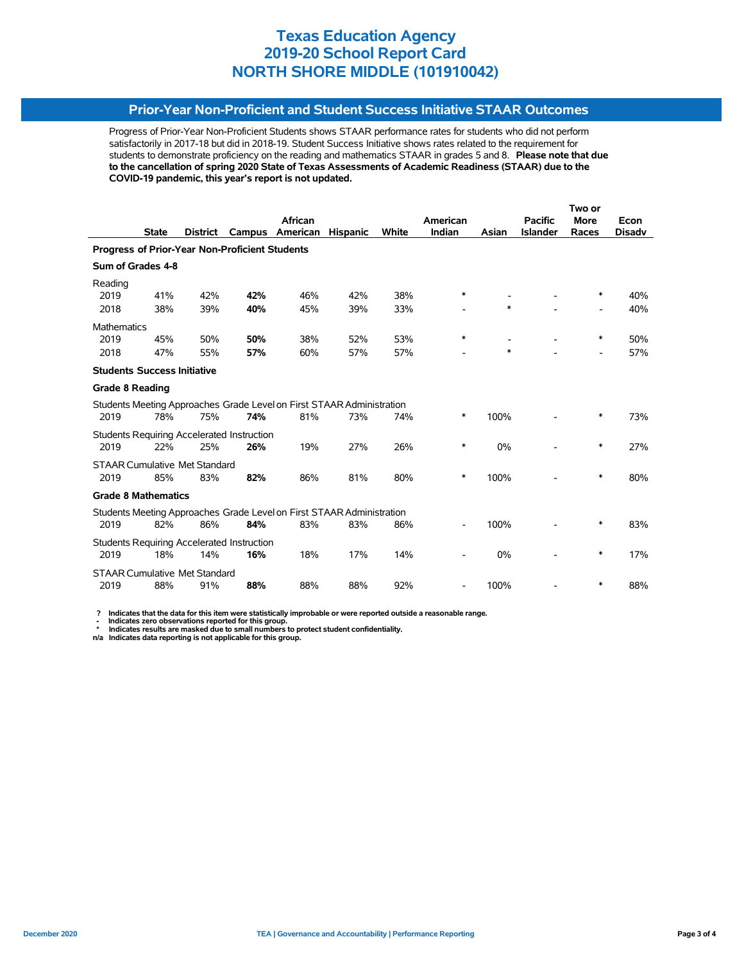## **Prior-Year Non-Proficient and Student Success Initiative STAAR Outcomes**

Progress of Prior-Year Non-Proficient Students shows STAAR performance rates for students who did not perform satisfactorily in 2017-18 but did in 2018-19. Student Success Initiative shows rates related to the requirement for students to demonstrate proficiency on the reading and mathematics STAAR in grades 5 and 8. **Please note that due to the cancellation of spring 2020 State of Texas Assessments of Academic Readiness (STAAR) due to the COVID-19 pandemic, this year's report is not updated.**

|                                                       |                                      |                 |                                                   |                                                                       |                 |       | Two or                   |        |                 |                          |               |  |
|-------------------------------------------------------|--------------------------------------|-----------------|---------------------------------------------------|-----------------------------------------------------------------------|-----------------|-------|--------------------------|--------|-----------------|--------------------------|---------------|--|
|                                                       |                                      |                 |                                                   | African                                                               |                 |       | American                 |        | <b>Pacific</b>  | <b>More</b>              | Econ          |  |
|                                                       | <b>State</b>                         | <b>District</b> | Campus                                            | American                                                              | <b>Hispanic</b> | White | Indian                   | Asian  | <b>Islander</b> | Races                    | <b>Disadv</b> |  |
| <b>Progress of Prior-Year Non-Proficient Students</b> |                                      |                 |                                                   |                                                                       |                 |       |                          |        |                 |                          |               |  |
|                                                       | Sum of Grades 4-8                    |                 |                                                   |                                                                       |                 |       |                          |        |                 |                          |               |  |
| Reading                                               |                                      |                 |                                                   |                                                                       |                 |       |                          |        |                 |                          |               |  |
| 2019                                                  | 41%                                  | 42%             | 42%                                               | 46%                                                                   | 42%             | 38%   | *                        |        |                 | $\ast$                   | 40%           |  |
| 2018                                                  | 38%                                  | 39%             | 40%                                               | 45%                                                                   | 39%             | 33%   |                          | *      |                 |                          | 40%           |  |
| <b>Mathematics</b>                                    |                                      |                 |                                                   |                                                                       |                 |       |                          |        |                 |                          |               |  |
| 2019                                                  | 45%                                  | 50%             | 50%                                               | 38%                                                                   | 52%             | 53%   | *                        |        |                 | ∗                        | 50%           |  |
| 2018                                                  | 47%                                  | 55%             | 57%                                               | 60%                                                                   | 57%             | 57%   |                          | $\ast$ |                 | $\overline{\phantom{a}}$ | 57%           |  |
|                                                       | <b>Students Success Initiative</b>   |                 |                                                   |                                                                       |                 |       |                          |        |                 |                          |               |  |
| <b>Grade 8 Reading</b>                                |                                      |                 |                                                   |                                                                       |                 |       |                          |        |                 |                          |               |  |
|                                                       |                                      |                 |                                                   | Students Meeting Approaches Grade Level on First STAAR Administration |                 |       |                          |        |                 |                          |               |  |
| 2019                                                  | 78%                                  | 75%             | 74%                                               | 81%                                                                   | 73%             | 74%   | $\ast$                   | 100%   |                 | $\ast$                   | 73%           |  |
|                                                       |                                      |                 | <b>Students Requiring Accelerated Instruction</b> |                                                                       |                 |       |                          |        |                 |                          |               |  |
| 2019                                                  | 22%                                  | 25%             | 26%                                               | 19%                                                                   | 27%             | 26%   | *                        | 0%     |                 | $\ast$                   | 27%           |  |
|                                                       | <b>STAAR Cumulative Met Standard</b> |                 |                                                   |                                                                       |                 |       |                          |        |                 |                          |               |  |
| 2019                                                  | 85%                                  | 83%             | 82%                                               | 86%                                                                   | 81%             | 80%   | *                        | 100%   |                 | $\ast$                   | 80%           |  |
|                                                       | <b>Grade 8 Mathematics</b>           |                 |                                                   |                                                                       |                 |       |                          |        |                 |                          |               |  |
|                                                       |                                      |                 |                                                   | Students Meeting Approaches Grade Level on First STAAR Administration |                 |       |                          |        |                 |                          |               |  |
| 2019                                                  | 82%                                  | 86%             | 84%                                               | 83%                                                                   | 83%             | 86%   |                          | 100%   |                 | *                        | 83%           |  |
|                                                       |                                      |                 | <b>Students Requiring Accelerated Instruction</b> |                                                                       |                 |       |                          |        |                 |                          |               |  |
| 2019                                                  | 18%                                  | 14%             | 16%                                               | 18%                                                                   | 17%             | 14%   |                          | 0%     |                 | ∗                        | 17%           |  |
|                                                       | <b>STAAR Cumulative Met Standard</b> |                 |                                                   |                                                                       |                 |       |                          |        |                 |                          |               |  |
| 2019                                                  | 88%                                  | 91%             | 88%                                               | 88%                                                                   | 88%             | 92%   | $\overline{\phantom{a}}$ | 100%   |                 | ∗                        | 88%           |  |

 **? Indicates that the data for this item were statistically improbable or were reported outside a reasonable range.**

 **- Indicates zero observations reported for this group. \* Indicates results are masked due to small numbers to protect student confidentiality.**

**n/a Indicates data reporting is not applicable for this group.**